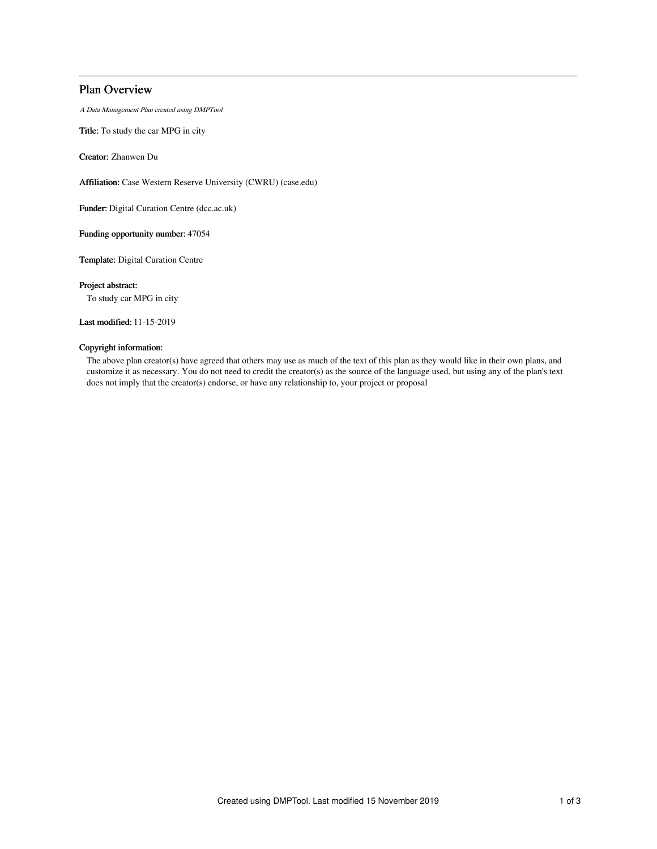## Plan Overview

A Data Management Plan created using DMPTool

Title: To study the car MPG in city

Creator: Zhanwen Du

Affiliation: Case Western Reserve University (CWRU) (case.edu)

Funder: Digital Curation Centre (dcc.ac.uk)

Funding opportunity number: 47054

Template: Digital Curation Centre

Project abstract:

To study car MPG in city

Last modified: 11-15-2019

### Copyright information:

The above plan creator(s) have agreed that others may use as much of the text of this plan as they would like in their own plans, and customize it as necessary. You do not need to credit the creator(s) as the source of the language used, but using any of the plan's text does not imply that the creator(s) endorse, or have any relationship to, your project or proposal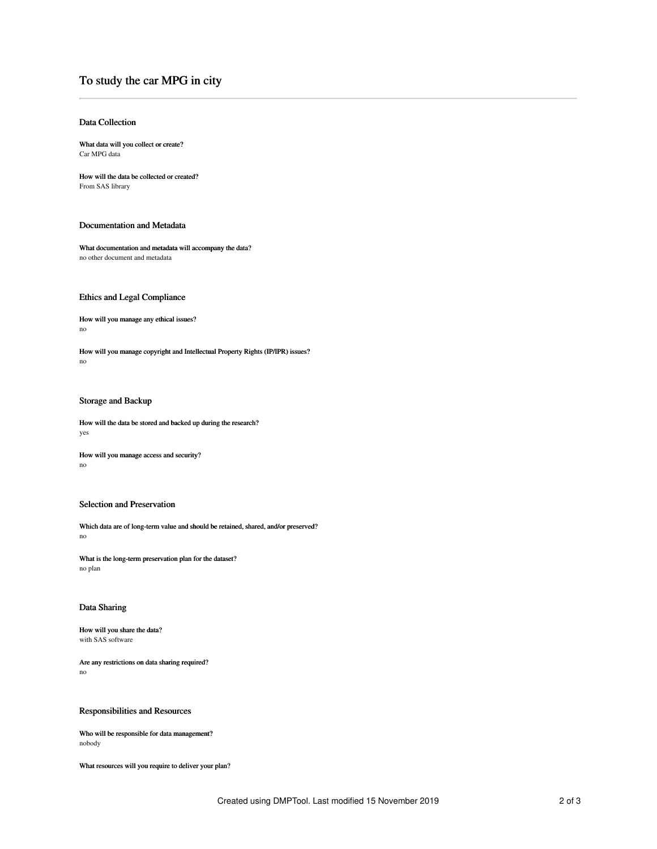# To study the car MPG in city

#### Data Collection

What data will you collect or create? Car MPG data

How will the data be collected or created? From SAS library

#### Documentation and Metadata

What documentation and metadata will accompany the data? no other document and metadata

#### Ethics and Legal Compliance

How will you manage any ethical issues? no

How will you manage copyright and Intellectual Property Rights (IP/IPR) issues? no

## Storage and Backup

How will the data be stored and backed up during the research? yes

How will you manage access and security? no

#### Selection and Preservation

Which data are of long-term value and should be retained, shared, and/or preserved? no

What is the long-term preservation plan for the dataset? no plan

#### Data Sharing

How will you share the data? with SAS software

Are any restrictions on data sharing required? no

Responsibilities and Resources

Who will be responsible for data management? nobody

What resources will you require to deliver your plan?